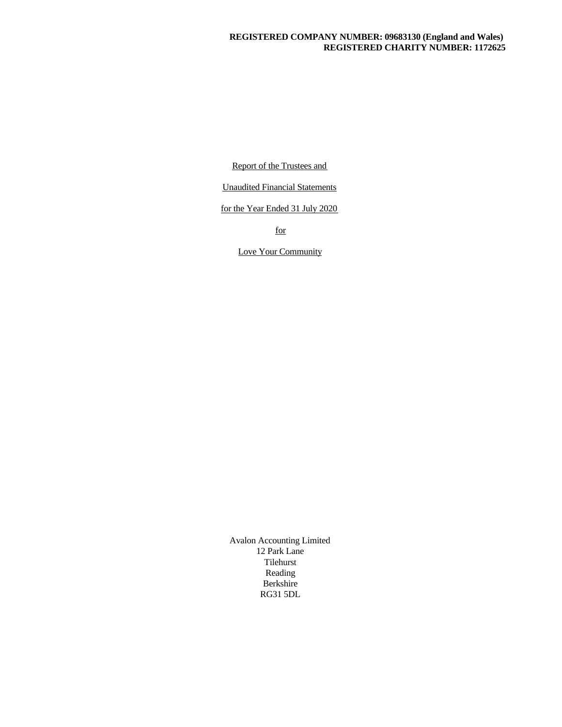## **REGISTERED COMPANY NUMBER: 09683130 (England and Wales) REGISTERED CHARITY NUMBER: 1172625**

Report of the Trustees and

Unaudited Financial Statements

for the Year Ended 31 July 2020

for

Love Your Community

Avalon Accounting Limited 12 Park Lane Tilehurst Reading Berkshire RG31 5DL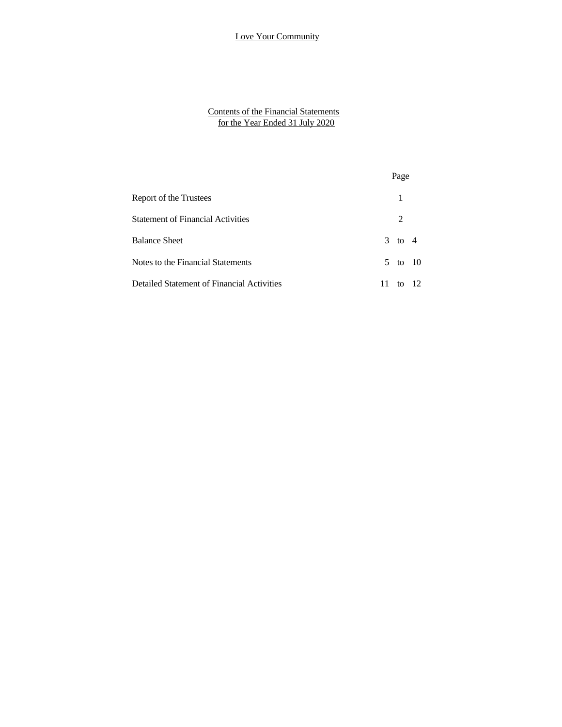#### Contents of the Financial Statements for the Year Ended 31 July 2020

| <b>Contents of the Financial Statements</b><br>for the Year Ended 31 July 2020 |                |
|--------------------------------------------------------------------------------|----------------|
|                                                                                |                |
|                                                                                |                |
|                                                                                | Page           |
| Report of the Trustees                                                         | 1              |
| <b>Statement of Financial Activities</b>                                       | $\overline{2}$ |
| <b>Balance Sheet</b>                                                           | $3$ to $4$     |
| Notes to the Financial Statements                                              | 5 to 10        |
| Detailed Statement of Financial Activities                                     | 11 to 12       |
|                                                                                |                |
|                                                                                |                |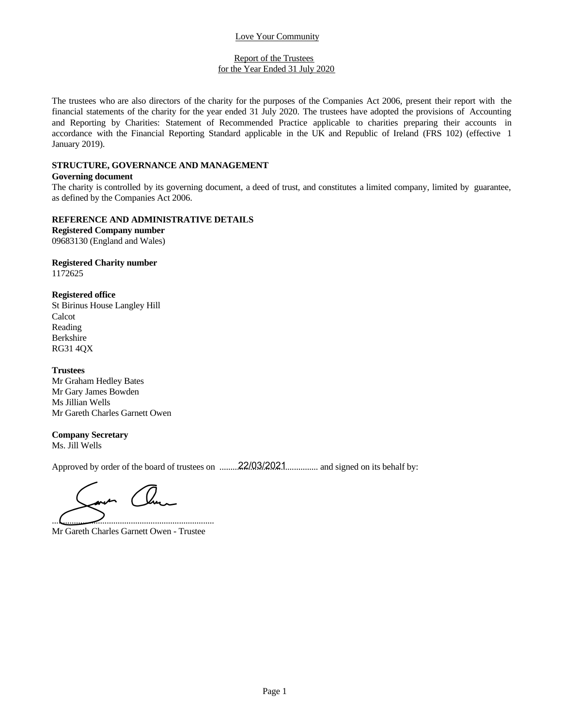#### Report of the Trustees for the Year Ended 31 July 2020

The trustees who are also directors of the charity for the purposes of the Companies Act 2006, present their report with the financial statements of the charity for the purposes of the Companies Act 2006, present their rep Example 1 Love Your Community<br>
for the Trustees<br>
for the Year Ended 31 July 2020.<br>
The trustees who are also directors of the charity for the purposes of the Companies Act 2006, present their report with the<br>
financial sta Expect of the Trustees<br>for the Year Ended 31 July 2020<br>The trustees who are also directors of the charity for the purposes of the Companies Act 2006, present their report with the<br>financial statements of the charity for th Love Your Community<br>
Report of the Trustees<br>
for the Year Ended 31 July 2020<br>
The trustees who are also directors of the charity for the purposes of the Companies Act 2006, present their report with the<br>
financial statemen January 2019). **Example 10** Report of the Trustees<br>
for the Year Ended 31 July 2020.<br>
The trustees who are also directors of the charity for the purposes of the Companies Act 2006, present their report with the<br>
financial statements of t

### **STRUCTURE, GOVERNANCE AND MANAGEMENT**

## **Governing document**

as defined by the Companies Act 2006.

### **REFERENCE AND ADMINISTRATIVE DETAILS**

**Registered Company number** 09683130 (England and Wales)

#### **Registered Charity number** 1172625

**Registered office** St Birinus House Langley Hill Calcot Reading Berkshire RG31 4QX

## **Trustees**

Mr Graham Hedley Bates Mr Gary James Bowden Ms Jillian Wells Mr Gareth Charles Garnett Owen

## **Company Secretary**

Ms. Jill Wells

Approved by order of the board of trustees on ............................................. and signed on its behalf by: 22/03/2021

..........................................................................

Mr Gareth Charles Garnett Owen - Trustee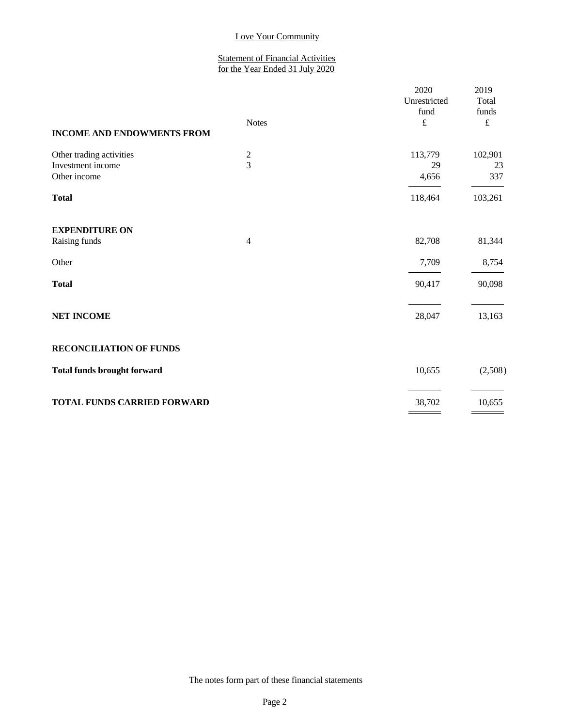#### Statement of Financial Activities for the Year Ended 31 July 2020

| <b>INCOME AND ENDOWMENTS FROM</b>                             | <b>Notes</b>                       | 2020<br>Unrestricted<br>fund<br>$\pounds$ | 2019<br>Total<br>funds<br>$\pounds$ |
|---------------------------------------------------------------|------------------------------------|-------------------------------------------|-------------------------------------|
| Other trading activities<br>Investment income<br>Other income | $\boldsymbol{2}$<br>$\overline{3}$ | 113,779<br>29<br>4,656                    | 102,901<br>23<br>337                |
| <b>Total</b>                                                  |                                    | 118,464                                   | 103,261                             |
| <b>EXPENDITURE ON</b><br>Raising funds                        | 4                                  | 82,708                                    | 81,344                              |
| Other                                                         |                                    | 7,709                                     | 8,754                               |
| <b>Total</b>                                                  |                                    | 90,417                                    | 90,098                              |
| <b>NET INCOME</b>                                             |                                    | 28,047                                    | 13,163                              |
| <b>RECONCILIATION OF FUNDS</b>                                |                                    |                                           |                                     |
| <b>Total funds brought forward</b>                            |                                    | 10,655                                    | (2,508)                             |
| <b>TOTAL FUNDS CARRIED FORWARD</b>                            |                                    | 38,702                                    | 10,655                              |
|                                                               |                                    |                                           |                                     |

The notes form part of these financial statements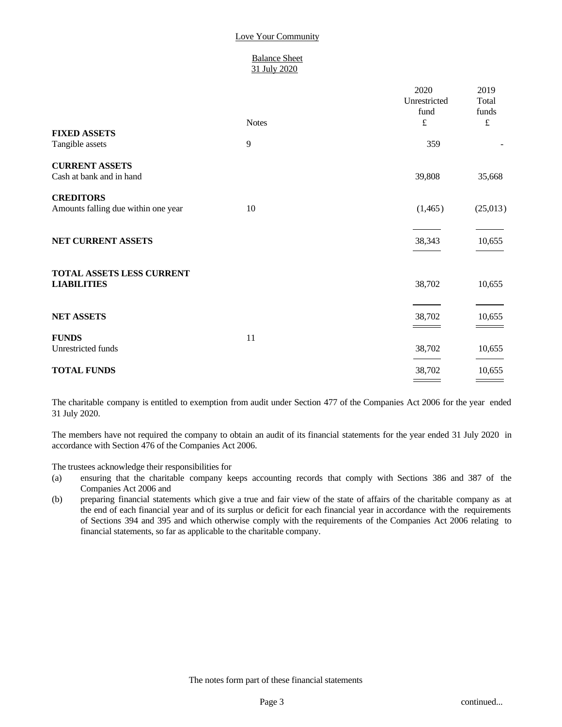### Balance Sheet 31 July 2020

|                                                         | <b>Notes</b> | 2020<br>Unrestricted<br>fund<br>$\pounds$ | 2019<br>Total<br>funds<br>$\pounds$ |
|---------------------------------------------------------|--------------|-------------------------------------------|-------------------------------------|
| <b>FIXED ASSETS</b><br>Tangible assets                  | 9            | 359                                       |                                     |
| <b>CURRENT ASSETS</b><br>Cash at bank and in hand       |              | 39,808                                    | 35,668                              |
| <b>CREDITORS</b><br>Amounts falling due within one year | 10           | (1,465)                                   | (25,013)                            |
| NET CURRENT ASSETS                                      |              | 38,343                                    | 10,655                              |
| TOTAL ASSETS LESS CURRENT<br><b>LIABILITIES</b>         |              | 38,702                                    | 10,655                              |
| <b>NET ASSETS</b>                                       |              | 38,702                                    | 10,655                              |
| <b>FUNDS</b><br>Unrestricted funds                      | 11           | 38,702                                    | 10,655                              |
| <b>TOTAL FUNDS</b>                                      |              | 38,702                                    | 10,655                              |

The charitable company is entitled to exemption from audit under Section 477 of the Companies Act 2006 for the year ended 31 July 2020.

The members have not required the company to obtain an audit of its financial statements for the year ended 31 July 2020 in accordance with Section 476 of the Companies Act 2006.

The trustees acknowledge their responsibilities for

- (a) ensuring that the charitable company keeps accounting records that comply with Sections 386 and 387 of the Companies Act 2006 and
- (b) preparing financial statements which give a true and fair view of the state of affairs of the charitable company as at the end of each financial year and of its surplus or deficit for each financial year in accordance with the requirements of Sections 394 and 395 and which otherwise comply with the requirements of the Companies Act 2006 relating to financial statements, so far as applicable to the charitable company.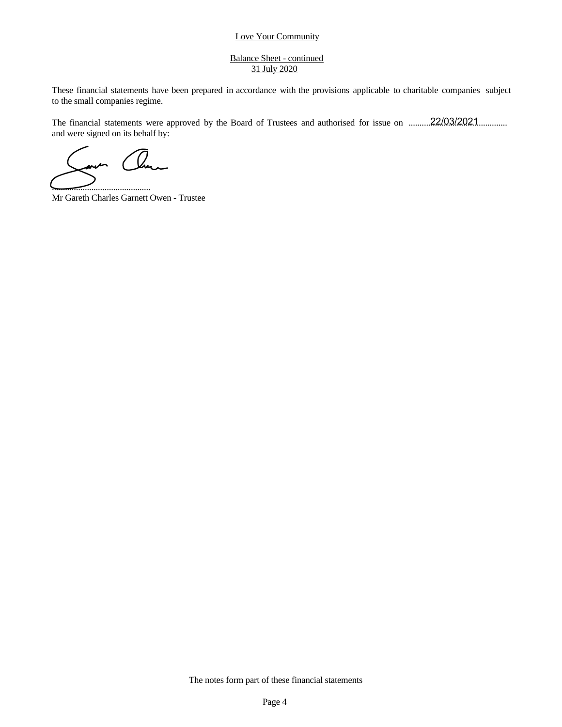#### Balance Sheet - continued 31 July 2020

Love Your Community<br>
Balance Sheet - continued<br>
<u>31 July 2020</u><br>
These financial statements have been prepared in accordance with the provisions applicable to charitable companies subject<br>
to the small companies regime.<br>
Th to the small companies regime. Love Your Community<br>
Balance Sheet - continued<br>
31 July 2020<br>
These financial statements have been prepared in accordance with the provisions applicable to charitable companies subject<br>
to the small companies regime.<br>
The

and were signed on its behalf by: The financial statements were approved by the Board of Trustees and authorised for issue on .........22/03/2021.............

.............................................

Mr Gareth Charles Garnett Owen - Trustee

The notes form part of these financial statements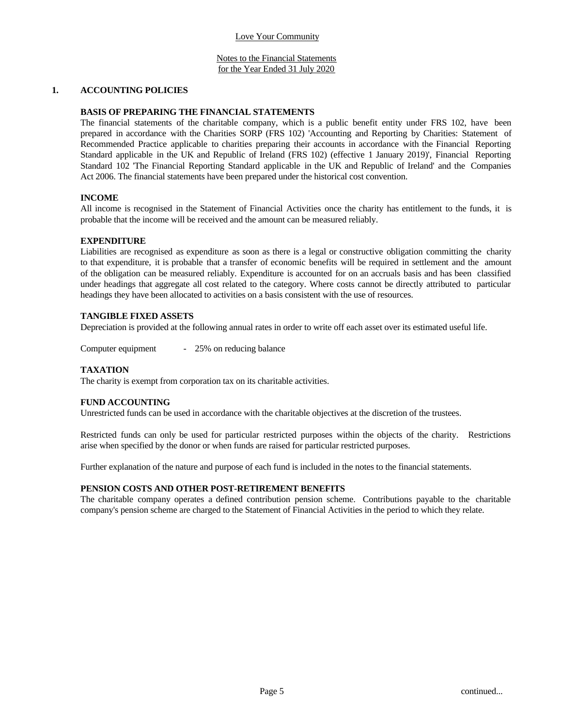#### Notes to the Financial Statements for the Year Ended 31 July 2020

### **1. ACCOUNTING POLICIES**

### **BASIS OF PREPARING THE FINANCIAL STATEMENTS**

The financial statements of the charitable company, which is a public benefit entity under FRS 102, have been prepared in accordance with the Charities SORP (FRS 102) 'Accounting and Reporting by Charities: Statement of Recommended Practice applicable to charities preparing their accounts in accordance with the Financial Reporting Standard applicable in the UK and Republic of Ireland (FRS 102) (effective 1 January 2019)', Financial Reporting Standard 102 'The Financial Reporting Standard applicable in the UK and Republic of Ireland' and the Companies Act 2006. The financial statements have been prepared under the historical cost convention.

## **INCOME**

All income is recognised in the Statement of Financial Activities once the charity has entitlement to the funds, it is probable that the income will be received and the amount can be measured reliably.

#### **EXPENDITURE**

Liabilities are recognised as expenditure as soon as there isa legal or constructive obligation committing the charity to that expenditure, it is probable that a transfer of economic benefits will be required in settlement and the amount of the obligation can be measured reliably. Expenditure isaccounted for on an accruals basis and has been classified under headings that aggregate all cost related to the category. Where costs cannot be directly attributed to particular headings they have been allocated to activities on a basis consistent with the use of resources.

### **TANGIBLE FIXED ASSETS**

Depreciation is provided at the following annual rates in order to write off each asset over its estimated useful life.

Computer equipment - 25% on reducing balance

## **TAXATION**

The charity is exempt from corporation tax on its charitable activities.

#### **FUND ACCOUNTING**

Unrestricted funds can be used in accordance with the charitable objectives at the discretion of the trustees.

Restricted funds can only be used for particular restricted purposes within the objects of the charity. Restrictions arise when specified by the donor or when funds are raised for particular restricted purposes.

Further explanation of the nature and purpose of each fund is included in the notes to the financial statements.

#### **PENSION COSTS AND OTHER POST-RETIREMENT BENEFITS**

The charitable company operates a defined contribution pension scheme. Contributions payable to the charitable company's pension scheme are charged to the Statement of Financial Activities in the period to which they relate.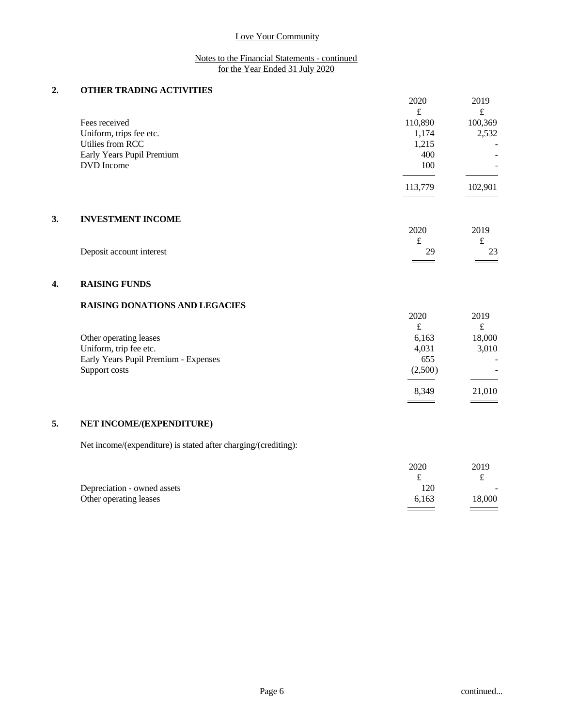### Notes to the Financial Statements - continued for the Year Ended 31 July 2020

# **2. OTHER TRADING ACTIVITIES**

|    |                                       | 2020    | 2019                     |  |
|----|---------------------------------------|---------|--------------------------|--|
|    |                                       | £       | £                        |  |
|    | Fees received                         | 110,890 | 100,369                  |  |
|    | Uniform, trips fee etc.               | 1,174   | 2,532                    |  |
|    | Utilies from RCC                      | 1,215   |                          |  |
|    | Early Years Pupil Premium             | 400     |                          |  |
|    | DVD Income                            | 100     | $\overline{\phantom{a}}$ |  |
|    |                                       |         |                          |  |
|    |                                       | 113,779 | 102,901                  |  |
|    |                                       |         |                          |  |
|    |                                       |         |                          |  |
| 3. | <b>INVESTMENT INCOME</b>              |         |                          |  |
|    |                                       | 2020    | 2019                     |  |
|    |                                       | £       | £                        |  |
|    | Deposit account interest              | 29      | 23                       |  |
|    |                                       |         |                          |  |
|    |                                       |         |                          |  |
| 4. | <b>RAISING FUNDS</b>                  |         |                          |  |
|    |                                       |         |                          |  |
|    | <b>RAISING DONATIONS AND LEGACIES</b> |         |                          |  |
|    |                                       | 2020    | 2019                     |  |

|                                      | ىم      | ىم                       |  |
|--------------------------------------|---------|--------------------------|--|
| Other operating leases               | 6,163   | 18,000                   |  |
| Uniform, trip fee etc.               | 4,031   | 3,010                    |  |
| Early Years Pupil Premium - Expenses | 655     | $\overline{\phantom{0}}$ |  |
| Support costs                        | (2,500) | $\overline{\phantom{a}}$ |  |
|                                      |         |                          |  |
|                                      | 8,349   | 21,010                   |  |
|                                      |         |                          |  |

# **5. NET INCOME/(EXPENDITURE)**

Net income/(expenditure) is stated after charging/(crediting):

|                             | 2020  | 2019                     |  |
|-----------------------------|-------|--------------------------|--|
|                             |       | ົ                        |  |
| Depreciation - owned assets | 120   | $\overline{\phantom{a}}$ |  |
| Other operating leases      | 6,163 | 18,000                   |  |
|                             |       | ====                     |  |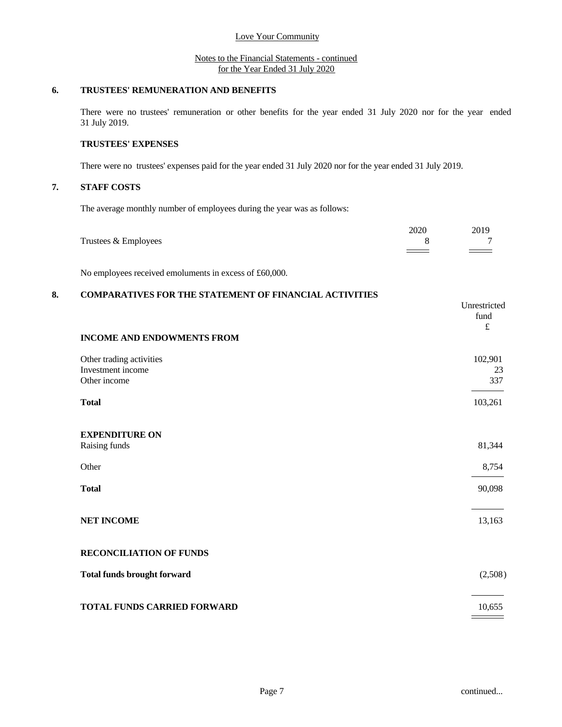#### Notes to the Financial Statements - continued for the Year Ended 31 July 2020

## **6. TRUSTEES' REMUNERATION AND BENEFITS**

There were no trustees' remuneration or other benefits for the year ended 31 July 2020 nor for the year ended 31 July 2019.

## **TRUSTEES' EXPENSES**

There were no trustees' expenses paid for the year ended 31 July 2020 nor for the year ended 31 July 2019.

# **7. STAFF COSTS**

The average monthly number of employees during the year was as follows:

|                      | 2020 | 2019              |  |
|----------------------|------|-------------------|--|
| Trustees & Employees |      | ∽                 |  |
|                      |      | $\equiv$ $\equiv$ |  |

No employees received emoluments in excess of £60,000.

# **8. COMPARATIVES FOR THE STATEMENT OF FINANCIAL ACTIVITIES**

| <b>INCOME AND ENDOWMENTS FROM</b>                             | Unrestricted<br>fund<br>$\pounds$ |
|---------------------------------------------------------------|-----------------------------------|
| Other trading activities<br>Investment income<br>Other income | 102,901<br>23<br>337              |
| <b>Total</b>                                                  | 103,261                           |
| <b>EXPENDITURE ON</b><br>Raising funds                        | 81,344                            |
| Other                                                         | 8,754                             |
| <b>Total</b>                                                  | 90,098                            |
| <b>NET INCOME</b>                                             | 13,163                            |
| <b>RECONCILIATION OF FUNDS</b>                                |                                   |
| <b>Total funds brought forward</b>                            | (2,508)                           |
| TOTAL FUNDS CARRIED FORWARD                                   | 10,655                            |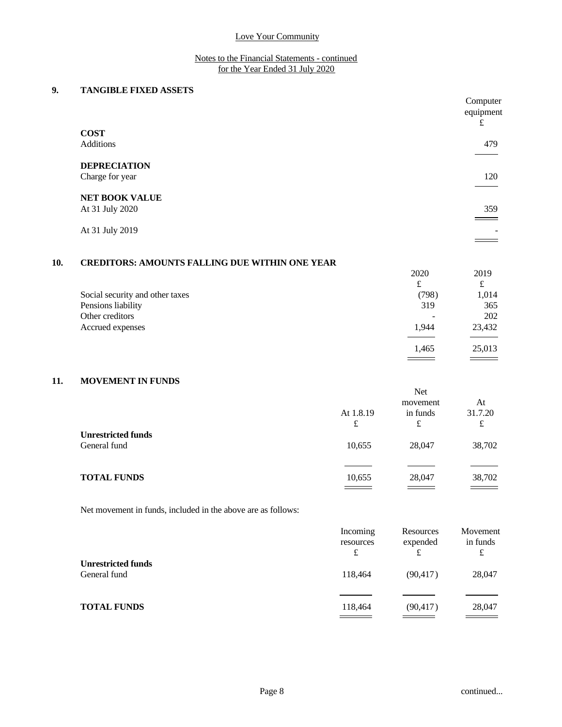### Notes to the Financial Statements - continued for the Year Ended 31 July 2020

# **9. TANGIBLE FIXED ASSETS**

|     |                                                         |            | Computer<br>equipment<br>£ |  |
|-----|---------------------------------------------------------|------------|----------------------------|--|
|     | <b>COST</b>                                             |            |                            |  |
|     | Additions                                               |            | 479                        |  |
|     | <b>DEPRECIATION</b>                                     |            |                            |  |
|     | Charge for year                                         |            | 120                        |  |
|     | <b>NET BOOK VALUE</b>                                   |            |                            |  |
|     | At 31 July 2020                                         |            | 359                        |  |
|     | At 31 July 2019                                         |            |                            |  |
|     |                                                         |            |                            |  |
| 10. | <b>CREDITORS: AMOUNTS FALLING DUE WITHIN ONE YEAR</b>   |            |                            |  |
|     |                                                         | 2020       | 2019                       |  |
|     |                                                         | £          | £                          |  |
|     | $\sim$ $\sim$ $\sim$ $\sim$ $\sim$ $\sim$ $\sim$ $\sim$ | $\sqrt{2}$ | $\sim$ 0.4 $\sim$          |  |

|                                 | $\overline{\phantom{a}}$ | $\tilde{}$               |  |
|---------------------------------|--------------------------|--------------------------|--|
| Social security and other taxes | (798)                    | 1,014                    |  |
| Pensions liability              | 319                      | 365                      |  |
| Other creditors                 | -                        | 202                      |  |
| Accrued expenses                | 1,944                    | 23,432                   |  |
|                                 |                          |                          |  |
|                                 | 1,465                    | 25,013                   |  |
|                                 |                          | $\overline{\phantom{a}}$ |  |

# **11. MOVEMENT IN FUNDS**

|                           |           | Net      |         |
|---------------------------|-----------|----------|---------|
|                           |           | movement | At      |
|                           | At 1.8.19 | in funds | 31.7.20 |
|                           | £         | £        | £       |
| <b>Unrestricted funds</b> |           |          |         |
| General fund              | 10,655    | 28,047   | 38,702  |
|                           |           |          |         |
|                           |           |          |         |
| <b>TOTAL FUNDS</b>        | 10,655    | 28,047   | 38,702  |
|                           |           |          |         |

Net movement in funds, included in the above are as follows:

|                                           | Incoming<br>resources<br>£                   | Resources<br>expended<br>£ | Movement<br>in funds<br>£ |
|-------------------------------------------|----------------------------------------------|----------------------------|---------------------------|
| <b>Unrestricted funds</b><br>General fund | 118,464                                      | (90, 417)                  | 28,047                    |
| <b>TOTAL FUNDS</b>                        | 118,464<br>and the control of the control of | (90, 417)                  | 28,047                    |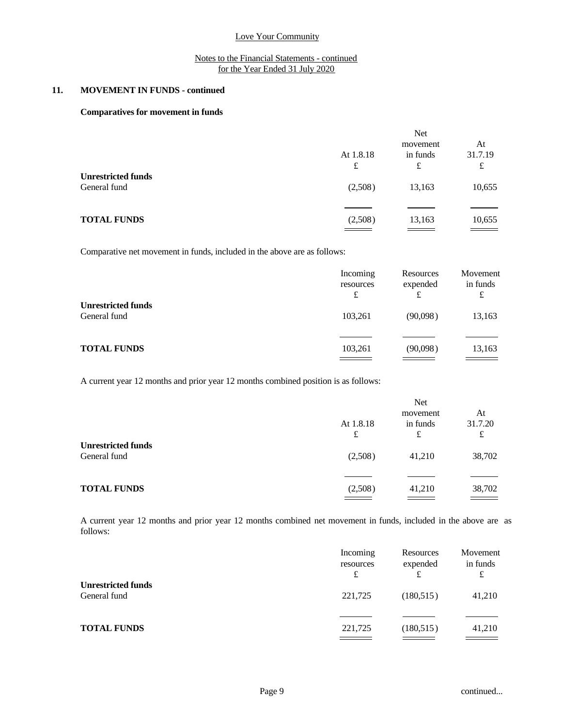### Notes to the Financial Statements - continued for the Year Ended 31 July 2020

# **11. MOVEMENT IN FUNDS - continued**

#### **Comparatives for movement in funds**

|                                                | <b>Net</b>                |                                |
|------------------------------------------------|---------------------------|--------------------------------|
| At 1.8.18<br>£                                 | movement<br>in funds<br>£ | At<br>31.7.19<br>£             |
| (2,508)                                        | 13,163                    | 10,655                         |
| (2,508)<br>$\equiv$ $\equiv$ $\equiv$ $\equiv$ | 13,163                    | 10,655<br>______               |
|                                                |                           | $\qquad \qquad =\qquad \qquad$ |

Comparative net movement in funds, included in the above are as follows:

|                                           | Incoming<br>resources<br>£ | Resources<br>expended<br>£ | Movement<br>in funds<br>£ |
|-------------------------------------------|----------------------------|----------------------------|---------------------------|
| <b>Unrestricted funds</b><br>General fund | 103,261                    | (90,098)                   | 13,163                    |
| <b>TOTAL FUNDS</b>                        | 103,261                    | (90,098)                   | 13,163                    |

A current year 12 months and prior year 12 months combined position is as follows:

|                                           | At 1.8.18<br>£ | Net<br>movement<br>in funds<br>£ | At<br>31.7.20<br>£                                  |  |
|-------------------------------------------|----------------|----------------------------------|-----------------------------------------------------|--|
| <b>Unrestricted funds</b><br>General fund | (2,508)        | 41,210                           | 38,702                                              |  |
| <b>TOTAL FUNDS</b>                        | (2,508)        | 41,210                           | 38,702<br>$\qquad \qquad \overline{\qquad \qquad }$ |  |

A current year 12 months and prior year 12 months combined net movement in funds, included in the above are as follows:

|                                           | Incoming<br>resources<br>£ | Resources<br>expended<br>£ | Movement<br>in funds<br>£ |
|-------------------------------------------|----------------------------|----------------------------|---------------------------|
| <b>Unrestricted funds</b><br>General fund | 221,725                    | (180, 515)                 | 41,210                    |
| <b>TOTAL FUNDS</b>                        | 221,725                    | (180, 515)                 | 41,210                    |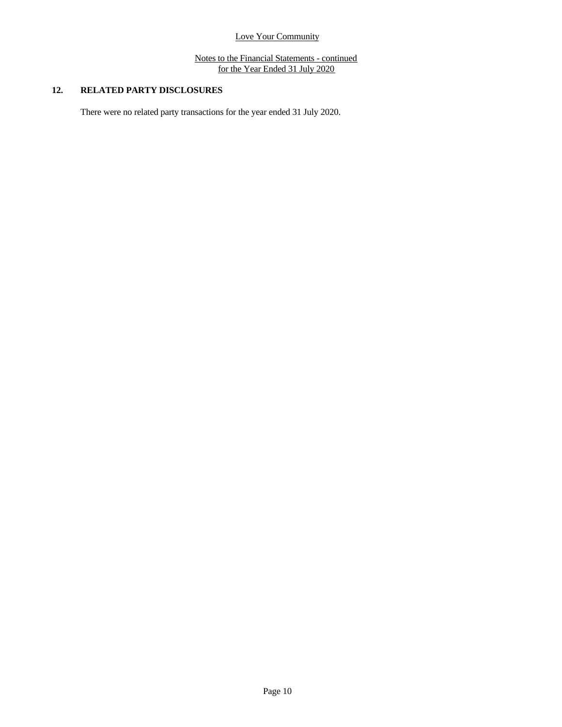Notes to the Financial Statements - continued for the Year Ended 31 July 2020

# **12. RELATED PARTY DISCLOSURES**

There were no related party transactions for the year ended 31 July 2020.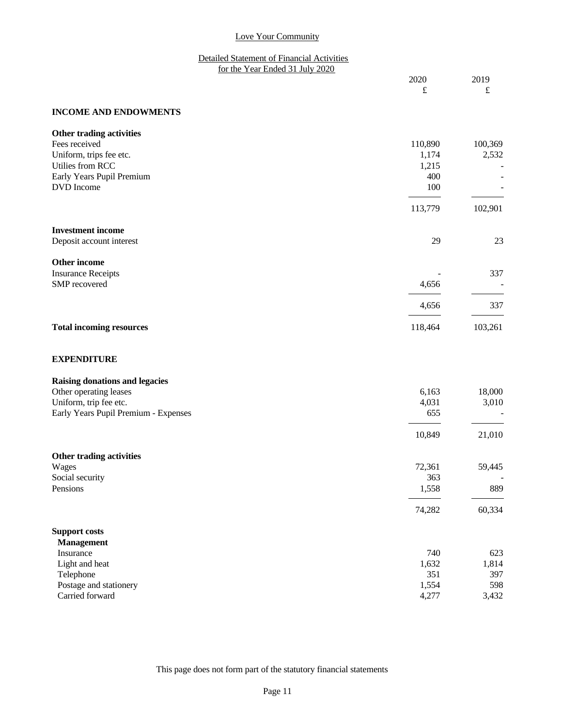## Detailed Statement of Financial Activities for the Year Ended 31 July 2020

| 2020 | 2019 |
|------|------|
| ىم   | ىم   |

## **INCOME AND ENDOWMENTS**

| Other trading activities        |         |         |  |
|---------------------------------|---------|---------|--|
| Fees received                   | 110,890 | 100,369 |  |
| Uniform, trips fee etc.         | 1,174   | 2,532   |  |
| Utilies from RCC                | 1,215   |         |  |
| Early Years Pupil Premium       | 400     |         |  |
| DVD Income                      | 100     |         |  |
|                                 | 113,779 | 102,901 |  |
| <b>Investment</b> income        |         |         |  |
| Deposit account interest        | 29      | 23      |  |
| Other income                    |         |         |  |
| <b>Insurance Receipts</b>       |         | 337     |  |
| SMP recovered                   | 4,656   |         |  |
|                                 | 4,656   | 337     |  |
| <b>Total incoming resources</b> | 118,464 | 103,261 |  |
|                                 |         |         |  |

# **EXPENDITURE**

| <b>Raising donations and legacies</b>    |  |
|------------------------------------------|--|
| $\sim$ 1. $\sim$ $\sim$ $\sim$ 1. $\sim$ |  |

| Other operating leases               | 6,163  | 18,000 |  |
|--------------------------------------|--------|--------|--|
| Uniform, trip fee etc.               | 4,031  | 3,010  |  |
| Early Years Pupil Premium - Expenses | 655    |        |  |
|                                      | 10,849 | 21,010 |  |
| Other trading activities             |        |        |  |
| Wages                                | 72,361 | 59,445 |  |
| Social security                      | 363    |        |  |
| Pensions                             | 1,558  | 889    |  |
|                                      | 74,282 | 60,334 |  |
| <b>Support costs</b>                 |        |        |  |
| <b>Management</b>                    |        |        |  |
| Insurance                            | 740    | 623    |  |
| Light and heat                       | 1,632  | 1,814  |  |
| Telephone                            | 351    | 397    |  |
| Postage and stationery               | 1,554  | 598    |  |
| Carried forward                      | 4,277  | 3,432  |  |

This page does not form part of the statutory financial statements